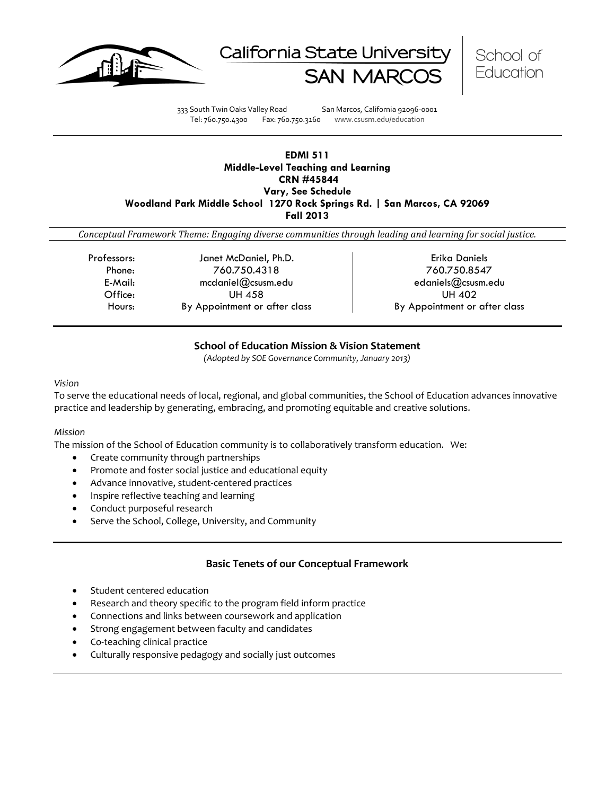





333 South Twin Oaks Valley Road San Marcos, California 92096-0001 Tel: 760.750.4300 Fax: 760.750.3160 www.csusm.edu/education

## **EDMI 511 Middle-Level Teaching and Learning CRN #45844 Vary, See Schedule Woodland Park Middle School 1270 Rock Springs Rd. | San Marcos, CA 92069 Fall 2013**

*Conceptual Framework Theme: Engaging diverse communities through leading and learning for social justice.*

Professors: Janet McDaniel, Ph.D. Professors: Erika Daniels Phone: 760.750.4318 760.750.8547 E-Mail: mcdaniel@csusm.edu edaniels@csusm.edu Office: UH 458 UH 402 Hours: By Appointment or after class Fig. by Appointment or after class

# **School of Education Mission & Vision Statement**

*(Adopted by SOE Governance Community, January 2013)*

## *Vision*

To serve the educational needs of local, regional, and global communities, the School of Education advances innovative practice and leadership by generating, embracing, and promoting equitable and creative solutions.

# *Mission*

The mission of the School of Education community is to collaboratively transform education. We:

- Create community through partnerships
- Promote and foster social justice and educational equity
- Advance innovative, student-centered practices
- Inspire reflective teaching and learning
- Conduct purposeful research
- Serve the School, College, University, and Community

# **Basic Tenets of our Conceptual Framework**

- Student centered education
- Research and theory specific to the program field inform practice
- Connections and links between coursework and application
- Strong engagement between faculty and candidates
- Co-teaching clinical practice
- Culturally responsive pedagogy and socially just outcomes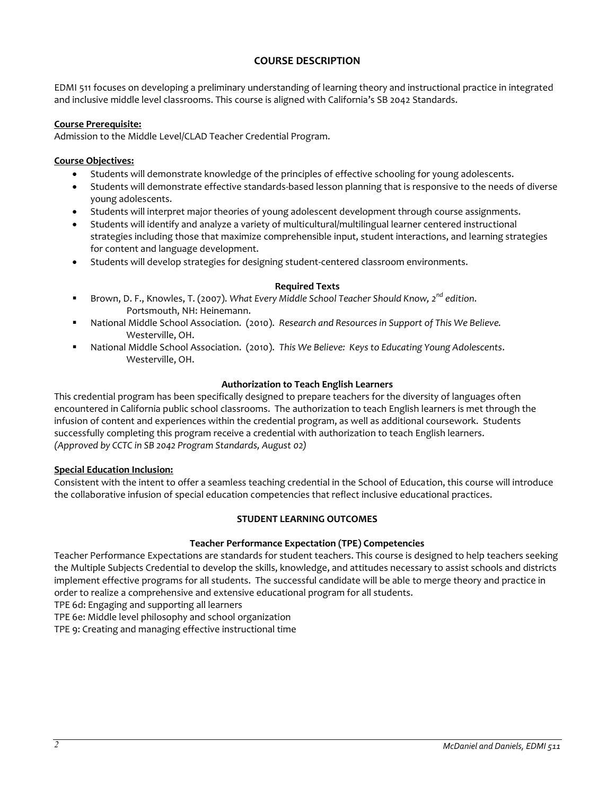# **COURSE DESCRIPTION**

EDMI 511 focuses on developing a preliminary understanding of learning theory and instructional practice in integrated and inclusive middle level classrooms. This course is aligned with California's SB 2042 Standards.

#### **Course Prerequisite:**

Admission to the Middle Level/CLAD Teacher Credential Program.

## **Course Objectives:**

- Students will demonstrate knowledge of the principles of effective schooling for young adolescents.
- Students will demonstrate effective standards-based lesson planning that is responsive to the needs of diverse young adolescents.
- Students will interpret major theories of young adolescent development through course assignments.
- Students will identify and analyze a variety of multicultural/multilingual learner centered instructional strategies including those that maximize comprehensible input, student interactions, and learning strategies for content and language development.
- Students will develop strategies for designing student-centered classroom environments.

#### **Required Texts**

- Brown, D. F., Knowles, T. (2007). *What Every Middle School Teacher Should Know, 2nd edition*. Portsmouth, NH: Heinemann.
- National Middle School Association. (2010). *Research and Resources in Support of This We Believe.* Westerville, OH.
- National Middle School Association. (2010). *This We Believe: Keys to Educating Young Adolescents*. Westerville, OH.

## **Authorization to Teach English Learners**

This credential program has been specifically designed to prepare teachers for the diversity of languages often encountered in California public school classrooms. The authorization to teach English learners is met through the infusion of content and experiences within the credential program, as well as additional coursework. Students successfully completing this program receive a credential with authorization to teach English learners. *(Approved by CCTC in SB 2042 Program Standards, August 02)*

#### **Special Education Inclusion:**

Consistent with the intent to offer a seamless teaching credential in the School of Education, this course will introduce the collaborative infusion of special education competencies that reflect inclusive educational practices.

# **STUDENT LEARNING OUTCOMES**

#### **Teacher Performance Expectation (TPE) Competencies**

Teacher Performance Expectations are standards for student teachers. This course is designed to help teachers seeking the Multiple Subjects Credential to develop the skills, knowledge, and attitudes necessary to assist schools and districts implement effective programs for all students. The successful candidate will be able to merge theory and practice in order to realize a comprehensive and extensive educational program for all students.

TPE 6d: Engaging and supporting all learners

TPE 6e: Middle level philosophy and school organization

TPE 9: Creating and managing effective instructional time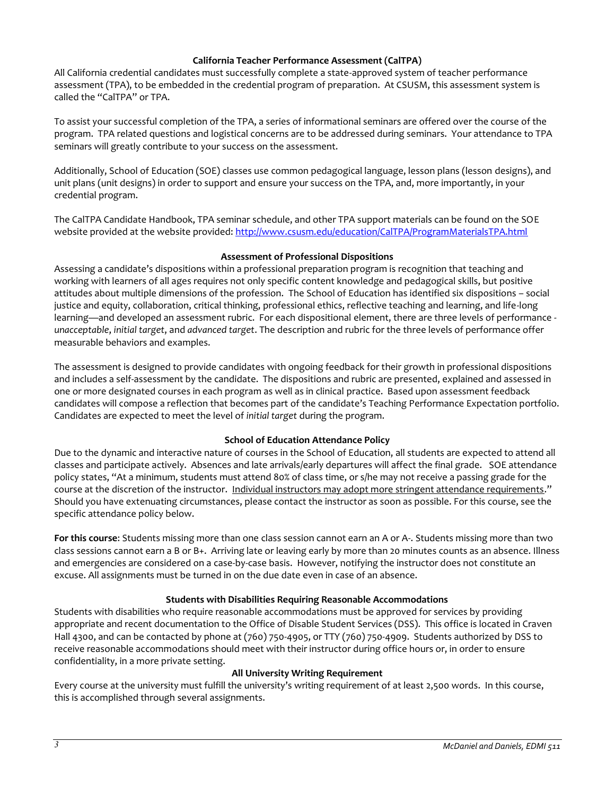#### **California Teacher Performance Assessment (CalTPA)**

All California credential candidates must successfully complete a state-approved system of teacher performance assessment (TPA), to be embedded in the credential program of preparation. At CSUSM, this assessment system is called the "CalTPA" or TPA.

To assist your successful completion of the TPA, a series of informational seminars are offered over the course of the program. TPA related questions and logistical concerns are to be addressed during seminars. Your attendance to TPA seminars will greatly contribute to your success on the assessment.

Additionally, School of Education (SOE) classes use common pedagogical language, lesson plans (lesson designs), and unit plans (unit designs) in order to support and ensure your success on the TPA, and, more importantly, in your credential program.

The CalTPA Candidate Handbook, TPA seminar schedule, and other TPA support materials can be found on the SOE website provided at the website provided[: http://www.csusm.edu/education/CalTPA/ProgramMaterialsTPA.html](http://www.csusm.edu/education/CalTPA/ProgramMaterialsTPA.html)

## **Assessment of Professional Dispositions**

Assessing a candidate's dispositions within a professional preparation program is recognition that teaching and working with learners of all ages requires not only specific content knowledge and pedagogical skills, but positive attitudes about multiple dimensions of the profession. The School of Education has identified six dispositions – social justice and equity, collaboration, critical thinking, professional ethics, reflective teaching and learning, and life-long learning—and developed an assessment rubric. For each dispositional element, there are three levels of performance *unacceptable*, *initial target*, and *advanced target*. The description and rubric for the three levels of performance offer measurable behaviors and examples.

The assessment is designed to provide candidates with ongoing feedback for their growth in professional dispositions and includes a self-assessment by the candidate. The dispositions and rubric are presented, explained and assessed in one or more designated courses in each program as well as in clinical practice. Based upon assessment feedback candidates will compose a reflection that becomes part of the candidate's Teaching Performance Expectation portfolio. Candidates are expected to meet the level of *initial target* during the program.

# **School of Education Attendance Policy**

Due to the dynamic and interactive nature of courses in the School of Education, all students are expected to attend all classes and participate actively. Absences and late arrivals/early departures will affect the final grade. SOE attendance policy states, "At a minimum, students must attend 80% of class time, or s/he may not receive a passing grade for the course at the discretion of the instructor. Individual instructors may adopt more stringent attendance requirements." Should you have extenuating circumstances, please contact the instructor as soon as possible. For this course, see the specific attendance policy below.

**For this course**: Students missing more than one class session cannot earn an A or A-. Students missing more than two class sessions cannot earn a B or B+. Arriving late or leaving early by more than 20 minutes counts as an absence. Illness and emergencies are considered on a case-by-case basis. However, notifying the instructor does not constitute an excuse. All assignments must be turned in on the due date even in case of an absence.

# **Students with Disabilities Requiring Reasonable Accommodations**

Students with disabilities who require reasonable accommodations must be approved for services by providing appropriate and recent documentation to the Office of Disable Student Services (DSS). This office is located in Craven Hall 4300, and can be contacted by phone at (760) 750-4905, or TTY (760) 750-4909. Students authorized by DSS to receive reasonable accommodations should meet with their instructor during office hours or, in order to ensure confidentiality, in a more private setting.

#### **All University Writing Requirement**

Every course at the university must fulfill the university's writing requirement of at least 2,500 words. In this course, this is accomplished through several assignments.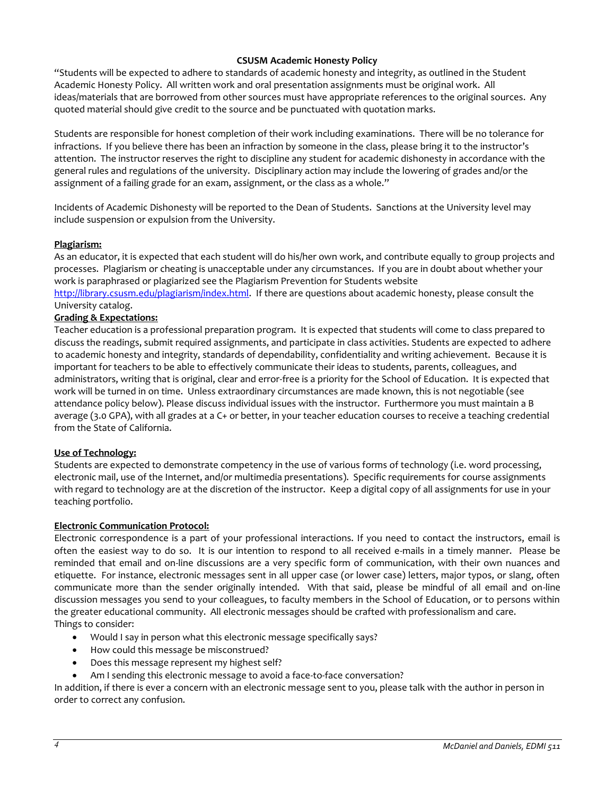## **CSUSM Academic Honesty Policy**

"Students will be expected to adhere to standards of academic honesty and integrity, as outlined in the Student Academic Honesty Policy. All written work and oral presentation assignments must be original work. All ideas/materials that are borrowed from other sources must have appropriate references to the original sources. Any quoted material should give credit to the source and be punctuated with quotation marks.

Students are responsible for honest completion of their work including examinations. There will be no tolerance for infractions. If you believe there has been an infraction by someone in the class, please bring it to the instructor's attention. The instructor reserves the right to discipline any student for academic dishonesty in accordance with the general rules and regulations of the university. Disciplinary action may include the lowering of grades and/or the assignment of a failing grade for an exam, assignment, or the class as a whole."

Incidents of Academic Dishonesty will be reported to the Dean of Students. Sanctions at the University level may include suspension or expulsion from the University.

## **Plagiarism:**

As an educator, it is expected that each student will do his/her own work, and contribute equally to group projects and processes. Plagiarism or cheating is unacceptable under any circumstances. If you are in doubt about whether your work is paraphrased or plagiarized see the Plagiarism Prevention for Students website

[http://library.csusm.edu/plagiarism/index.html.](http://library.csusm.edu/plagiarism/index.html) If there are questions about academic honesty, please consult the University catalog.

## **Grading & Expectations:**

Teacher education is a professional preparation program. It is expected that students will come to class prepared to discuss the readings, submit required assignments, and participate in class activities. Students are expected to adhere to academic honesty and integrity, standards of dependability, confidentiality and writing achievement. Because it is important for teachers to be able to effectively communicate their ideas to students, parents, colleagues, and administrators, writing that is original, clear and error-free is a priority for the School of Education. It is expected that work will be turned in on time. Unless extraordinary circumstances are made known, this is not negotiable (see attendance policy below). Please discuss individual issues with the instructor. Furthermore you must maintain a B average (3.0 GPA), with all grades at a C+ or better, in your teacher education courses to receive a teaching credential from the State of California.

#### **Use of Technology:**

Students are expected to demonstrate competency in the use of various forms of technology (i.e. word processing, electronic mail, use of the Internet, and/or multimedia presentations). Specific requirements for course assignments with regard to technology are at the discretion of the instructor. Keep a digital copy of all assignments for use in your teaching portfolio.

#### **Electronic Communication Protocol:**

Electronic correspondence is a part of your professional interactions. If you need to contact the instructors, email is often the easiest way to do so. It is our intention to respond to all received e-mails in a timely manner. Please be reminded that email and on-line discussions are a very specific form of communication, with their own nuances and etiquette. For instance, electronic messages sent in all upper case (or lower case) letters, major typos, or slang, often communicate more than the sender originally intended. With that said, please be mindful of all email and on-line discussion messages you send to your colleagues, to faculty members in the School of Education, or to persons within the greater educational community. All electronic messages should be crafted with professionalism and care. Things to consider:

- Would I say in person what this electronic message specifically says?
- How could this message be misconstrued?
- Does this message represent my highest self?
- Am I sending this electronic message to avoid a face-to-face conversation?

In addition, if there is ever a concern with an electronic message sent to you, please talk with the author in person in order to correct any confusion.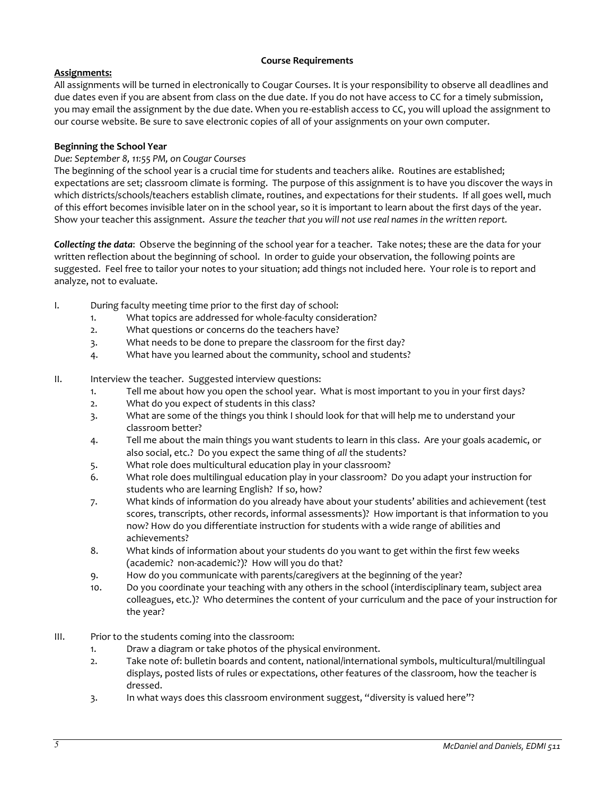## **Course Requirements**

# **Assignments:**

All assignments will be turned in electronically to Cougar Courses. It is your responsibility to observe all deadlines and due dates even if you are absent from class on the due date. If you do not have access to CC for a timely submission, you may email the assignment by the due date. When you re-establish access to CC, you will upload the assignment to our course website. Be sure to save electronic copies of all of your assignments on your own computer.

# **Beginning the School Year**

# *Due: September 8, 11:55 PM, on Cougar Courses*

The beginning of the school year is a crucial time for students and teachers alike. Routines are established; expectations are set; classroom climate is forming. The purpose of this assignment is to have you discover the ways in which districts/schools/teachers establish climate, routines, and expectations for their students. If all goes well, much of this effort becomes invisible later on in the school year, so it is important to learn about the first days of the year. Show your teacher this assignment. *Assure the teacher that you will not use real names in the written report.*

*Collecting the data*: Observe the beginning of the school year for a teacher. Take notes; these are the data for your written reflection about the beginning of school. In order to guide your observation, the following points are suggested. Feel free to tailor your notes to your situation; add things not included here. Your role is to report and analyze, not to evaluate.

- I. During faculty meeting time prior to the first day of school:
	- 1. What topics are addressed for whole-faculty consideration?
	- 2. What questions or concerns do the teachers have?
	- 3. What needs to be done to prepare the classroom for the first day?
	- 4. What have you learned about the community, school and students?
- II. Interview the teacher. Suggested interview questions:
	- 1. Tell me about how you open the school year. What is most important to you in your first days?
	- 2. What do you expect of students in this class?
	- 3. What are some of the things you think I should look for that will help me to understand your classroom better?
	- 4. Tell me about the main things you want students to learn in this class. Are your goals academic, or also social, etc.? Do you expect the same thing of *all* the students?
	- 5. What role does multicultural education play in your classroom?
	- 6. What role does multilingual education play in your classroom? Do you adapt your instruction for students who are learning English? If so, how?
	- 7. What kinds of information do you already have about your students' abilities and achievement (test scores, transcripts, other records, informal assessments)? How important is that information to you now? How do you differentiate instruction for students with a wide range of abilities and achievements?
	- 8. What kinds of information about your students do you want to get within the first few weeks (academic? non-academic?)? How will you do that?
	- 9. How do you communicate with parents/caregivers at the beginning of the year?
	- 10. Do you coordinate your teaching with any others in the school (interdisciplinary team, subject area colleagues, etc.)? Who determines the content of your curriculum and the pace of your instruction for the year?
- III. Prior to the students coming into the classroom:
	- 1. Draw a diagram or take photos of the physical environment.
	- 2. Take note of: bulletin boards and content, national/international symbols, multicultural/multilingual displays, posted lists of rules or expectations, other features of the classroom, how the teacher is dressed.
	- 3. In what ways does this classroom environment suggest, "diversity is valued here"?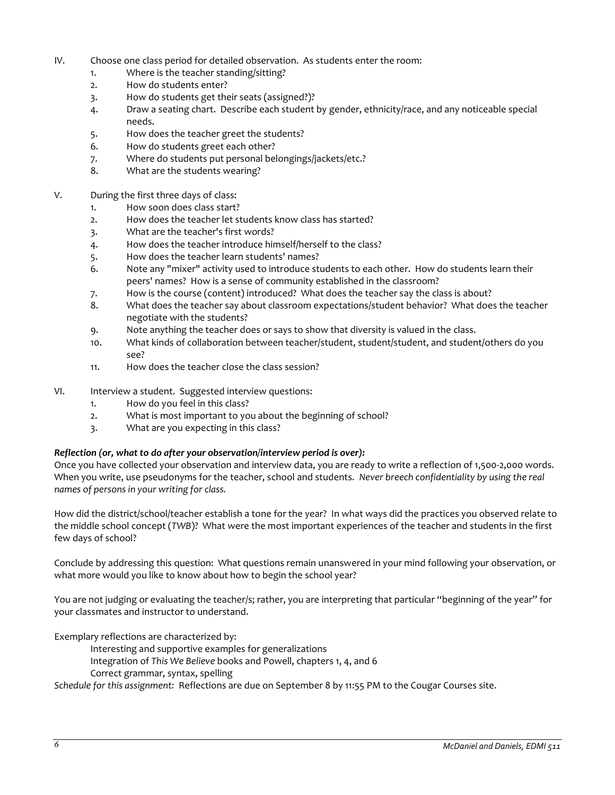- IV. Choose one class period for detailed observation. As students enter the room:
	- 1. Where is the teacher standing/sitting?
	- 2. How do students enter?
	- 3. How do students get their seats (assigned?)?
	- 4. Draw a seating chart. Describe each student by gender, ethnicity/race, and any noticeable special needs.
	- 5. How does the teacher greet the students?
	- 6. How do students greet each other?
	- 7. Where do students put personal belongings/jackets/etc.?
	- 8. What are the students wearing?
- V. During the first three days of class:
	- 1. How soon does class start?
	- 2. How does the teacher let students know class has started?
	- 3. What are the teacher's first words?
	- 4. How does the teacher introduce himself/herself to the class?
	- 5. How does the teacher learn students' names?
	- 6. Note any "mixer" activity used to introduce students to each other. How do students learn their peers' names? How is a sense of community established in the classroom?
	- 7. How is the course (content) introduced? What does the teacher say the class is about?
	- 8. What does the teacher say about classroom expectations/student behavior? What does the teacher negotiate with the students?
	- 9. Note anything the teacher does or says to show that diversity is valued in the class.
	- 10. What kinds of collaboration between teacher/student, student/student, and student/others do you see?
	- 11. How does the teacher close the class session?
- VI. Interview a student. Suggested interview questions:
	- 1. How do you feel in this class?
	- 2. What is most important to you about the beginning of school?
	- 3. What are you expecting in this class?

#### *Reflection (or, what to do after your observation/interview period is over):*

Once you have collected your observation and interview data, you are ready to write a reflection of 1,500-2,000 words. When you write, use pseudonyms for the teacher, school and students. *Never breech confidentiality by using the real names of persons in your writing for class.*

How did the district/school/teacher establish a tone for the year? In what ways did the practices you observed relate to the middle school concept (*TWB*)? What were the most important experiences of the teacher and students in the first few days of school?

Conclude by addressing this question: What questions remain unanswered in your mind following your observation, or what more would you like to know about how to begin the school year?

You are not judging or evaluating the teacher/s; rather, you are interpreting that particular "beginning of the year" for your classmates and instructor to understand.

Exemplary reflections are characterized by:

- Interesting and supportive examples for generalizations
- Integration of *This We Believe* books and Powell, chapters 1, 4, and 6
- Correct grammar, syntax, spelling

*Schedule for this assignment:* Reflections are due on September 8 by 11:55 PM to the Cougar Courses site.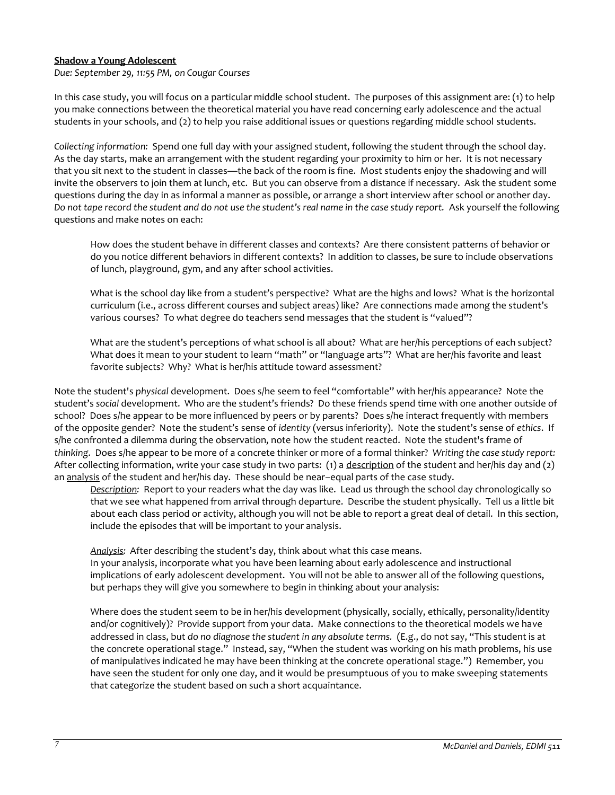## **Shadow a Young Adolescent**

*Due: September 29, 11:55 PM, on Cougar Courses*

In this case study, you will focus on a particular middle school student. The purposes of this assignment are: (1) to help you make connections between the theoretical material you have read concerning early adolescence and the actual students in your schools, and (2) to help you raise additional issues or questions regarding middle school students.

*Collecting information:* Spend one full day with your assigned student, following the student through the school day. As the day starts, make an arrangement with the student regarding your proximity to him or her. It is not necessary that you sit next to the student in classes—the back of the room is fine. Most students enjoy the shadowing and will invite the observers to join them at lunch, etc. But you can observe from a distance if necessary. Ask the student some questions during the day in as informal a manner as possible, or arrange a short interview after school or another day. *Do not tape record the student and do not use the student's real name in the case study report.* Ask yourself the following questions and make notes on each:

How does the student behave in different classes and contexts? Are there consistent patterns of behavior or do you notice different behaviors in different contexts? In addition to classes, be sure to include observations of lunch, playground, gym, and any after school activities.

What is the school day like from a student's perspective? What are the highs and lows? What is the horizontal curriculum (i.e., across different courses and subject areas) like? Are connections made among the student's various courses? To what degree do teachers send messages that the student is "valued"?

What are the student's perceptions of what school is all about? What are her/his perceptions of each subject? What does it mean to your student to learn "math" or "language arts"? What are her/his favorite and least favorite subjects? Why? What is her/his attitude toward assessment?

Note the student's *physical* development. Does s/he seem to feel "comfortable" with her/his appearance? Note the student's *social* development. Who are the student's friends? Do these friends spend time with one another outside of school? Does s/he appear to be more influenced by peers or by parents? Does s/he interact frequently with members of the opposite gender? Note the student's sense of *identity* (versus inferiority). Note the student's sense of *ethics*. If s/he confronted a dilemma during the observation, note how the student reacted. Note the student's frame of *thinking*. Does s/he appear to be more of a concrete thinker or more of a formal thinker? *Writing the case study report:*  After collecting information, write your case study in two parts: (1) a description of the student and her/his day and (2) an analysis of the student and her/his day. These should be near–equal parts of the case study.

*Description:* Report to your readers what the day was like. Lead us through the school day chronologically so that we see what happened from arrival through departure. Describe the student physically. Tell us a little bit about each class period or activity, although you will not be able to report a great deal of detail. In this section, include the episodes that will be important to your analysis.

*Analysis:* After describing the student's day, think about what this case means. In your analysis, incorporate what you have been learning about early adolescence and instructional implications of early adolescent development. You will not be able to answer all of the following questions, but perhaps they will give you somewhere to begin in thinking about your analysis:

Where does the student seem to be in her/his development (physically, socially, ethically, personality/identity and/or cognitively)? Provide support from your data. Make connections to the theoretical models we have addressed in class, but *do no diagnose the student in any absolute terms.* (E.g., do not say, "This student is at the concrete operational stage." Instead, say, "When the student was working on his math problems, his use of manipulatives indicated he may have been thinking at the concrete operational stage.") Remember, you have seen the student for only one day, and it would be presumptuous of you to make sweeping statements that categorize the student based on such a short acquaintance.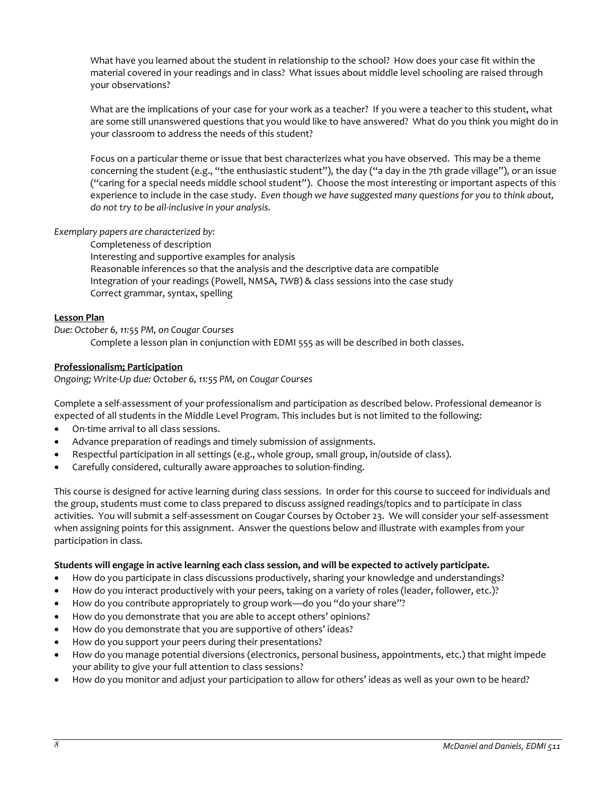What have you learned about the student in relationship to the school? How does your case fit within the material covered in your readings and in class? What issues about middle level schooling are raised through your observations?

What are the implications of your case for your work as a teacher? If you were a teacher to this student, what are some still unanswered questions that you would like to have answered? What do you think you might do in your classroom to address the needs of this student?

Focus on a particular theme or issue that best characterizes what you have observed. This may be a theme concerning the student (e.g., "the enthusiastic student"), the day ("a day in the 7th grade village"), or an issue ("caring for a special needs middle school student"). Choose the most interesting or important aspects of this experience to include in the case study. *Even though we have suggested many questions for you to think about, do not try to be all-inclusive in your analysis.*

*Exemplary papers are characterized by:*

Completeness of description

Interesting and supportive examples for analysis Reasonable inferences so that the analysis and the descriptive data are compatible Integration of your readings (Powell, NMSA, *TWB*) & class sessions into the case study Correct grammar, syntax, spelling

# **Lesson Plan**

*Due: October 6, 11:55 PM, on Cougar Courses*

Complete a lesson plan in conjunction with EDMI 555 as will be described in both classes.

# **Professionalism; Participation**

*Ongoing; Write-Up due: October 6, 11:55 PM, on Cougar Courses*

Complete a self-assessment of your professionalism and participation as described below. Professional demeanor is expected of all students in the Middle Level Program. This includes but is not limited to the following:

- On-time arrival to all class sessions.
- Advance preparation of readings and timely submission of assignments.
- Respectful participation in all settings (e.g., whole group, small group, in/outside of class).
- Carefully considered, culturally aware approaches to solution-finding.

This course is designed for active learning during class sessions. In order for this course to succeed for individuals and the group, students must come to class prepared to discuss assigned readings/topics and to participate in class activities. You will submit a self-assessment on Cougar Courses by October 23. We will consider your self-assessment when assigning points for this assignment. Answer the questions below and illustrate with examples from your participation in class.

#### **Students will engage in active learning each class session, and will be expected to actively participate.**

- How do you participate in class discussions productively, sharing your knowledge and understandings?
- How do you interact productively with your peers, taking on a variety of roles (leader, follower, etc.)?
- How do you contribute appropriately to group work—do you "do your share"?
- How do you demonstrate that you are able to accept others' opinions?
- How do you demonstrate that you are supportive of others' ideas?
- How do you support your peers during their presentations?
- How do you manage potential diversions (electronics, personal business, appointments, etc.) that might impede your ability to give your full attention to class sessions?
- How do you monitor and adjust your participation to allow for others' ideas as well as your own to be heard?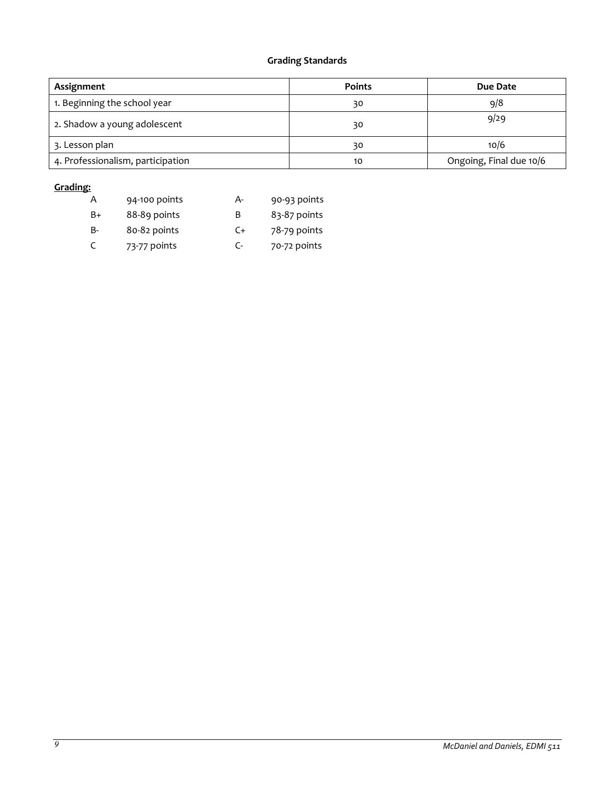# **Grading Standards**

| Assignment                        | <b>Points</b> | Due Date                |
|-----------------------------------|---------------|-------------------------|
| 1. Beginning the school year      | 30            | 9/8                     |
| 2. Shadow a young adolescent      | 30            | 9/29                    |
| 3. Lesson plan                    | 30            | 10/6                    |
| 4. Professionalism, participation | 10            | Ongoing, Final due 10/6 |

## **Grading:**

| А  | 94-100 points | А- | 90-93 points |
|----|---------------|----|--------------|
| B+ | 88-89 points  | B  | 83-87 points |
| B- | 80-82 points  | C+ | 78-79 points |
| C  | 73-77 points  | C- | 70-72 points |